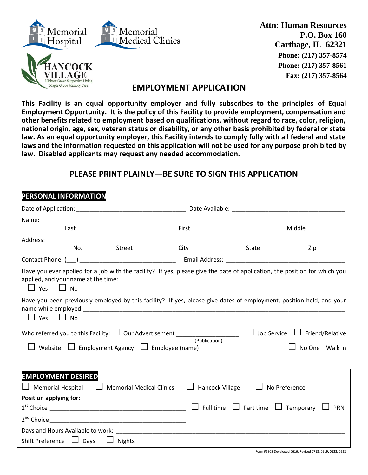

ILLAGE **Hickory Grove Supportive Living** Maple Grove Memory Care

**Attn: Human Resources P.O. Box 160 Carthage, IL 62321 Phone: (217) 357-8574 Phone: (217) 357-8561 Fax: (217) 357-8564**

## **EMPLOYMENT APPLICATION**

**This Facility is an equal opportunity employer and fully subscribes to the principles of Equal Employment Opportunity. It is the policy of this Facility to provide employment, compensation and other benefits related to employment based on qualifications, without regard to race, color, religion, national origin, age, sex, veteran status or disability, or any other basis prohibited by federal or state law. As an equal opportunity employer, this Facility intends to comply fully with all federal and state laws and the information requested on this application will not be used for any purpose prohibited by law. Disabled applicants may request any needed accommodation.**

## **PLEASE PRINT PLAINLY―BE SURE TO SIGN THIS APPLICATION**

| PERSONAL INFORMATION                                                                                                                               |                        |                                                               |  |  |  |
|----------------------------------------------------------------------------------------------------------------------------------------------------|------------------------|---------------------------------------------------------------|--|--|--|
|                                                                                                                                                    |                        |                                                               |  |  |  |
|                                                                                                                                                    |                        |                                                               |  |  |  |
| Last                                                                                                                                               | First                  | Middle                                                        |  |  |  |
|                                                                                                                                                    |                        |                                                               |  |  |  |
| Street<br>No.                                                                                                                                      | City                   | State<br>Zip                                                  |  |  |  |
|                                                                                                                                                    |                        |                                                               |  |  |  |
| Have you ever applied for a job with the facility? If yes, please give the date of application, the position for which you<br>$\Box$ Yes $\Box$ No |                        |                                                               |  |  |  |
| Have you been previously employed by this facility? If yes, please give dates of employment, position held, and your<br>$\Box$ Yes $\Box$ No       |                        |                                                               |  |  |  |
| Who referred you to this Facility: $\Box$ Our Advertisement ______________________ $\Box$ Job Service $\Box$ Friend/Relative                       |                        |                                                               |  |  |  |
| (Publication)<br>L Employment Agency L Employee (name) __________________________<br>Website<br>$\Box$ No One – Walk in                            |                        |                                                               |  |  |  |
|                                                                                                                                                    |                        |                                                               |  |  |  |
| <b>EMPLOYMENT DESIRED</b><br>$\Box$ Memorial Hospital<br>$\Box$ Memorial Medical Clinics                                                           | <b>Hancock Village</b> | $\Box$ No Preference                                          |  |  |  |
| <b>Position applying for:</b>                                                                                                                      |                        |                                                               |  |  |  |
|                                                                                                                                                    |                        | $\Box$ Full time $\Box$ Part time $\Box$ Temporary $\Box$ PRN |  |  |  |
|                                                                                                                                                    |                        |                                                               |  |  |  |
|                                                                                                                                                    |                        |                                                               |  |  |  |
| Shift Preference □ Days<br>$\Box$ Nights                                                                                                           |                        |                                                               |  |  |  |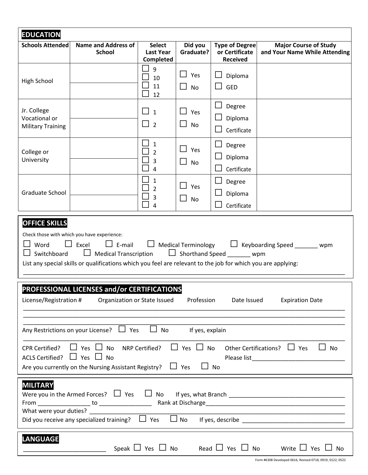| <b>EDUCATION</b>                                                                                                                                                                                                                                                                                                                                                         |                                             |                                                                                            |                                                  |                                                            |                                                               |
|--------------------------------------------------------------------------------------------------------------------------------------------------------------------------------------------------------------------------------------------------------------------------------------------------------------------------------------------------------------------------|---------------------------------------------|--------------------------------------------------------------------------------------------|--------------------------------------------------|------------------------------------------------------------|---------------------------------------------------------------|
| <b>Schools Attended</b>                                                                                                                                                                                                                                                                                                                                                  | <b>Name and Address of</b><br><b>School</b> | <b>Select</b><br><b>Last Year</b><br>Completed                                             | Did you<br>Graduate?                             | <b>Type of Degree</b><br>or Certificate<br><b>Received</b> | <b>Major Course of Study</b><br>and Your Name While Attending |
| High School                                                                                                                                                                                                                                                                                                                                                              |                                             | 9<br>10<br>11<br>12                                                                        | Yes<br><b>No</b>                                 | Diploma<br><b>GED</b>                                      |                                                               |
| Jr. College<br>Vocational or<br><b>Military Training</b>                                                                                                                                                                                                                                                                                                                 |                                             | $\Box$ 1<br>$\Box$ 2                                                                       | Yes<br><b>No</b>                                 | Degree<br>Diploma<br>Certificate                           |                                                               |
| College or<br>University                                                                                                                                                                                                                                                                                                                                                 |                                             | $\mathbf{I}$<br>$\mathbf{1}$<br>$\overline{2}$<br>$\overline{3}$<br>$\boldsymbol{\Lambda}$ | $\mathbf{L}$<br>Yes<br>$\mathbf{I}$<br><b>No</b> | Degree<br>Diploma<br>Certificate                           |                                                               |
| Graduate School                                                                                                                                                                                                                                                                                                                                                          |                                             | $\mathbf{1}$<br>$\overline{2}$<br>3<br>$\sim$<br>$\overline{4}$                            | Yes<br><b>No</b>                                 | Degree<br>Diploma<br>Certificate                           |                                                               |
| <b>OFFICE SKILLS</b><br>Check those with which you have experience:<br>Word<br>Excel<br>$\Box$ E-mail<br><b>Medical Terminology</b><br>$\Box$ Keyboarding Speed _______ wpm<br>$\Box$ Shorthand Speed wpm<br>$\Box$ Medical Transcription<br>Switchboard<br>List any special skills or qualifications which you feel are relevant to the job for which you are applying: |                                             |                                                                                            |                                                  |                                                            |                                                               |
| PROFESSIONAL LICENSES and/or CERTIFICATIONS<br>License/Registration #<br>Organization or State Issued<br>Profession<br>Date Issued<br><b>Expiration Date</b>                                                                                                                                                                                                             |                                             |                                                                                            |                                                  |                                                            |                                                               |
| Any Restrictions on your License? $\Box$ Yes<br>$\Box$ No<br>If yes, explain                                                                                                                                                                                                                                                                                             |                                             |                                                                                            |                                                  |                                                            |                                                               |
| $\Box$ Yes $\Box$ No Other Certifications? $\Box$ Yes<br>$\Box$ Yes $\Box$ No<br>NRP Certified?<br>$\Box$ No<br><b>CPR Certified?</b><br>ACLS Certified? $\Box$ Yes $\Box$ No<br>Are you currently on the Nursing Assistant Registry? $\Box$ Yes<br>No                                                                                                                   |                                             |                                                                                            |                                                  |                                                            |                                                               |
| <b>MILITARY</b><br>What were your duties?<br>$\Box$ No<br>Did you receive any specialized training? $\Box$ Yes                                                                                                                                                                                                                                                           |                                             |                                                                                            |                                                  |                                                            |                                                               |
| <b>LANGUAGE</b><br>Speak $\Box$ Yes $\Box$ No<br>Read $\Box$ Yes $\Box$ No<br>Write $\Box$ Yes<br><b>No</b><br>Form #6308 Developed 0616, Revised 0718, 0919, 0122, 0522                                                                                                                                                                                                 |                                             |                                                                                            |                                                  |                                                            |                                                               |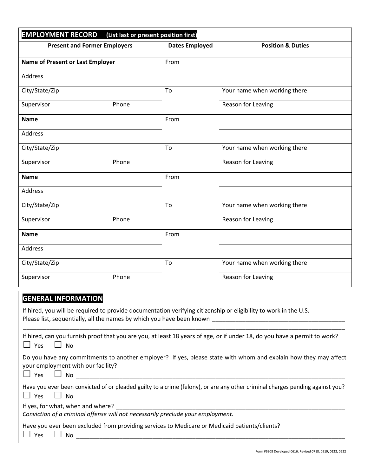| <b>EMPLOYMENT RECORD</b><br>(List last or present position first) |                       |                              |  |  |  |
|-------------------------------------------------------------------|-----------------------|------------------------------|--|--|--|
| <b>Present and Former Employers</b>                               | <b>Dates Employed</b> | <b>Position &amp; Duties</b> |  |  |  |
| <b>Name of Present or Last Employer</b>                           | From                  |                              |  |  |  |
| Address                                                           |                       |                              |  |  |  |
| City/State/Zip                                                    | To                    | Your name when working there |  |  |  |
| Phone<br>Supervisor                                               |                       | Reason for Leaving           |  |  |  |
| <b>Name</b>                                                       | From                  |                              |  |  |  |
| Address                                                           |                       |                              |  |  |  |
| City/State/Zip                                                    | To                    | Your name when working there |  |  |  |
| Phone<br>Supervisor                                               |                       | Reason for Leaving           |  |  |  |
| <b>Name</b>                                                       | From                  |                              |  |  |  |
| Address                                                           |                       |                              |  |  |  |
| City/State/Zip                                                    | To                    | Your name when working there |  |  |  |
| Supervisor<br>Phone                                               |                       | Reason for Leaving           |  |  |  |
| <b>Name</b>                                                       | From                  |                              |  |  |  |
| Address                                                           |                       |                              |  |  |  |
| City/State/Zip                                                    | To                    | Your name when working there |  |  |  |
| Phone<br>Supervisor                                               |                       | Reason for Leaving           |  |  |  |

## **GENERAL INFORMATION**

If hired, you will be required to provide documentation verifying citizenship or eligibility to work in the U.S. Please list, sequentially, all the names by which you have been known \_\_\_\_\_\_\_\_\_\_\_\_\_\_\_\_\_\_\_\_\_\_\_\_\_\_\_\_\_\_\_\_\_\_\_\_\_\_\_\_

| If hired, can you furnish proof that you are you, at least 18 years of age, or if under 18, do you have a permit to work?<br>$\Box$ No<br>$\Box$ Yes                          |
|-------------------------------------------------------------------------------------------------------------------------------------------------------------------------------|
| Do you have any commitments to another employer? If yes, please state with whom and explain how they may affect<br>your employment with our facility?<br>$\Box$ Yes $\Box$ No |
| Have you ever been convicted of or pleaded guilty to a crime (felony), or are any other criminal charges pending against you?<br>$\Box$ Yes $\Box$ No                         |
| If yes, for what, when and where?<br>Conviction of a criminal offense will not necessarily preclude your employment.                                                          |
| Have you ever been excluded from providing services to Medicare or Medicaid patients/clients?<br><b>No</b><br>$\Box$ Yes                                                      |